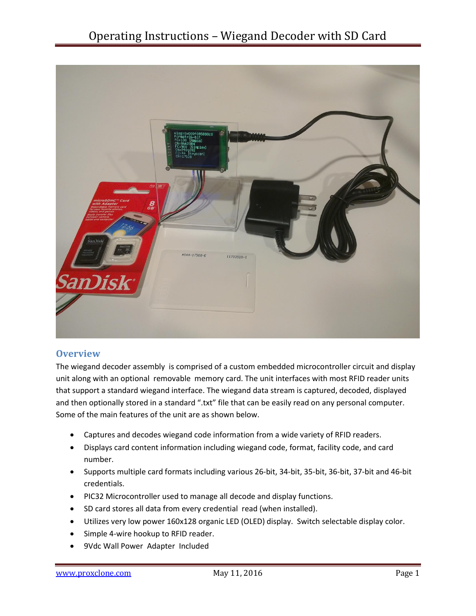

## **Overview**

The wiegand decoder assembly is comprised of a custom embedded microcontroller circuit and display unit along with an optional removable memory card. The unit interfaces with most RFID reader units that support a standard wiegand interface. The wiegand data stream is captured, decoded, displayed and then optionally stored in a standard ".txt" file that can be easily read on any personal computer. Some of the main features of the unit are as shown below.

- Captures and decodes wiegand code information from a wide variety of RFID readers.
- Displays card content information including wiegand code, format, facility code, and card number.
- Supports multiple card formats including various 26-bit, 34-bit, 35-bit, 36-bit, 37-bit and 46-bit credentials.
- PIC32 Microcontroller used to manage all decode and display functions.
- SD card stores all data from every credential read (when installed).
- Utilizes very low power 160x128 organic LED (OLED) display. Switch selectable display color.
- Simple 4-wire hookup to RFID reader.
- 9Vdc Wall Power Adapter Included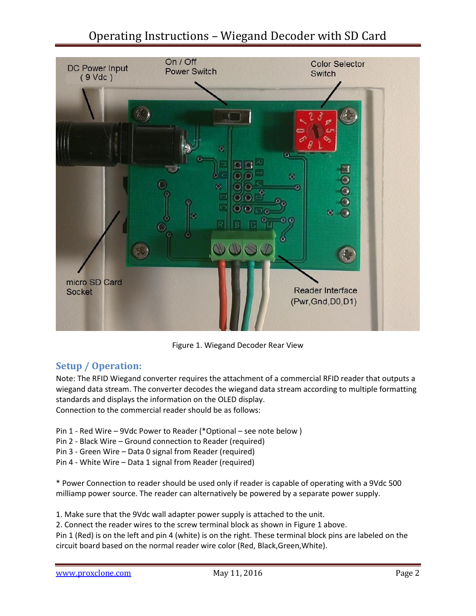# Operating Instructions – Wiegand Decoder with SD Card



Figure 1. Wiegand Decoder Rear View

# **Setup / Operation:**

Note: The RFID Wiegand converter requires the attachment of a commercial RFID reader that outputs a wiegand data stream. The converter decodes the wiegand data stream according to multiple formatting standards and displays the information on the OLED display. Connection to the commercial reader should be as follows:

- Pin 1 Red Wire 9Vdc Power to Reader (\*Optional see note below )
- Pin 2 Black Wire Ground connection to Reader (required)
- Pin 3 Green Wire Data 0 signal from Reader (required)
- Pin 4 White Wire Data 1 signal from Reader (required)

\* Power Connection to reader should be used only if reader is capable of operating with a 9Vdc 500 milliamp power source. The reader can alternatively be powered by a separate power supply.

1. Make sure that the 9Vdc wall adapter power supply is attached to the unit.

2. Connect the reader wires to the screw terminal block as shown in Figure 1 above.

Pin 1 (Red) is on the left and pin 4 (white) is on the right. These terminal block pins are labeled on the circuit board based on the normal reader wire color (Red, Black,Green,White).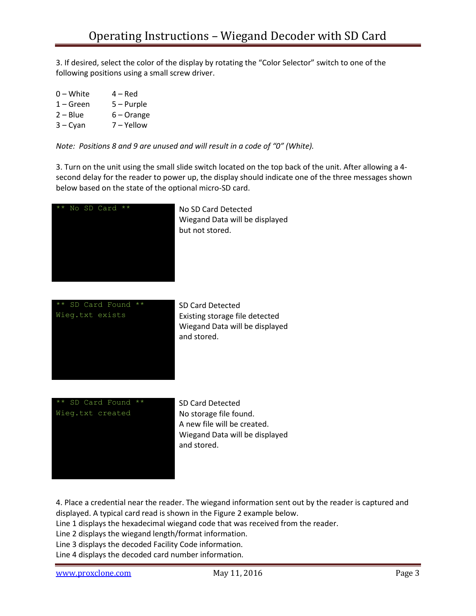3. If desired, select the color of the display by rotating the "Color Selector" switch to one of the following positions using a small screw driver.

- $0 -$  White  $4 -$  Red 1 – Green 5 – Purple
- 2 Blue 6 Orange
- 3 Cyan 7 Yellow

*Note: Positions 8 and 9 are unused and will result in a code of "0" (White).*

3. Turn on the unit using the small slide switch located on the top back of the unit. After allowing a 4 second delay for the reader to power up, the display should indicate one of the three messages shown below based on the state of the optional micro-SD card.



Wiegand Data will be displayed but not stored.



Wiegand Data will be displayed and stored.

\*\* SD Card Found \*\* SD Card Detected Wieg.txt created No storage file found.

A new file will be created. Wiegand Data will be displayed and stored.

4. Place a credential near the reader. The wiegand information sent out by the reader is captured and displayed. A typical card read is shown in the Figure 2 example below.

Line 1 displays the hexadecimal wiegand code that was received from the reader.

Line 2 displays the wiegand length/format information.

Line 3 displays the decoded Facility Code information.

Line 4 displays the decoded card number information.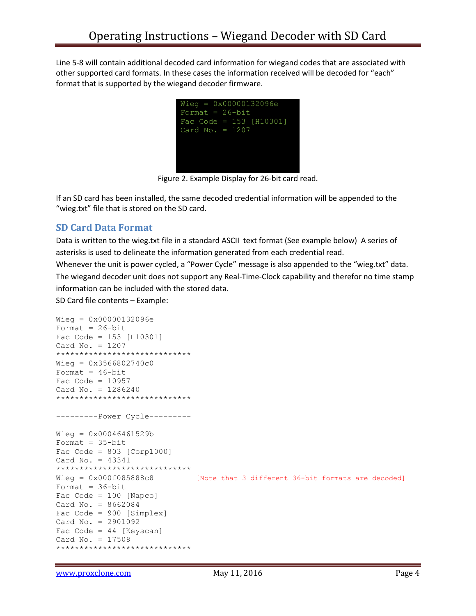Line 5-8 will contain additional decoded card information for wiegand codes that are associated with other supported card formats. In these cases the information received will be decoded for "each" format that is supported by the wiegand decoder firmware.



Figure 2. Example Display for 26-bit card read.

If an SD card has been installed, the same decoded credential information will be appended to the "wieg.txt" file that is stored on the SD card.

## **SD Card Data Format**

Data is written to the wieg.txt file in a standard ASCII text format (See example below) A series of asterisks is used to delineate the information generated from each credential read.

Whenever the unit is power cycled, a "Power Cycle" message is also appended to the "wieg.txt" data. The wiegand decoder unit does not support any Real-Time-Clock capability and therefor no time stamp information can be included with the stored data.

SD Card file contents – Example:

```
Wieg = 0x00000132096e
Format = 26-bit
Fac Code = 153 [H10301]
Card No. = 1207
*****************************
Wieq = 0x3566802740c0Format = 46-bit
Fac Code = 10957Card No. = 1286240
*****************************
---------Power Cycle---------
Wieg = 0x00046461529b
Format = 35 - bitFac Code = 803 [Corp1000]
Card No. = 43341*****************************
Wieg = 0x000f085888c8 [Note that 3 different 36-bit formats are decoded]
Format = 36-bit
Fac Code = 100 [Napco]
Card No. = 8662084
Fac Code = 900 [Simplex]
Card No. = 2901092
Fac Code = 44 [Keyscan]
Card No. = 17508
*****************************
```